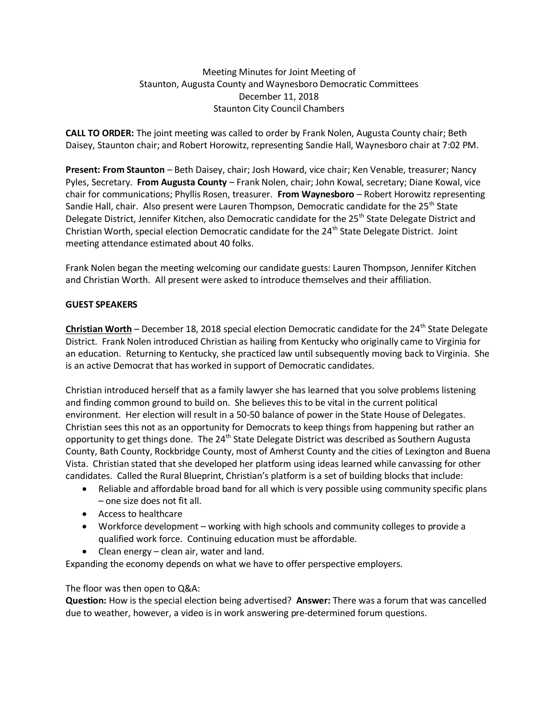### Meeting Minutes for Joint Meeting of Staunton, Augusta County and Waynesboro Democratic Committees December 11, 2018 Staunton City Council Chambers

**CALL TO ORDER:** The joint meeting was called to order by Frank Nolen, Augusta County chair; Beth Daisey, Staunton chair; and Robert Horowitz, representing Sandie Hall, Waynesboro chair at 7:02 PM.

**Present: From Staunton** – Beth Daisey, chair; Josh Howard, vice chair; Ken Venable, treasurer; Nancy Pyles, Secretary. **From Augusta County** – Frank Nolen, chair; John Kowal, secretary; Diane Kowal, vice chair for communications; Phyllis Rosen, treasurer. **From Waynesboro** – Robert Horowitz representing Sandie Hall, chair. Also present were Lauren Thompson, Democratic candidate for the 25<sup>th</sup> State Delegate District, Jennifer Kitchen, also Democratic candidate for the 25<sup>th</sup> State Delegate District and Christian Worth, special election Democratic candidate for the 24<sup>th</sup> State Delegate District. Joint meeting attendance estimated about 40 folks.

Frank Nolen began the meeting welcoming our candidate guests: Lauren Thompson, Jennifer Kitchen and Christian Worth. All present were asked to introduce themselves and their affiliation.

### **GUEST SPEAKERS**

**Christian Worth** – December 18, 2018 special election Democratic candidate for the 24<sup>th</sup> State Delegate District. Frank Nolen introduced Christian as hailing from Kentucky who originally came to Virginia for an education. Returning to Kentucky, she practiced law until subsequently moving back to Virginia. She is an active Democrat that has worked in support of Democratic candidates.

Christian introduced herself that as a family lawyer she has learned that you solve problems listening and finding common ground to build on. She believes this to be vital in the current political environment. Her election will result in a 50-50 balance of power in the State House of Delegates. Christian sees this not as an opportunity for Democrats to keep things from happening but rather an opportunity to get things done. The 24<sup>th</sup> State Delegate District was described as Southern Augusta County, Bath County, Rockbridge County, most of Amherst County and the cities of Lexington and Buena Vista. Christian stated that she developed her platform using ideas learned while canvassing for other candidates. Called the Rural Blueprint, Christian's platform is a set of building blocks that include:

- Reliable and affordable broad band for all which is very possible using community specific plans – one size does not fit all.
- Access to healthcare
- Workforce development working with high schools and community colleges to provide a qualified work force. Continuing education must be affordable.
- Clean energy clean air, water and land.

Expanding the economy depends on what we have to offer perspective employers.

## The floor was then open to Q&A:

**Question:** How is the special election being advertised? **Answer:** There was a forum that was cancelled due to weather, however, a video is in work answering pre-determined forum questions.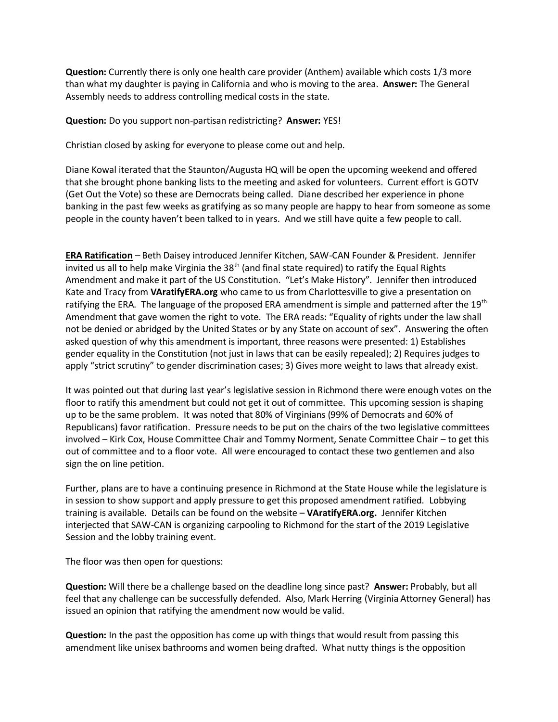**Question:** Currently there is only one health care provider (Anthem) available which costs 1/3 more than what my daughter is paying in California and who is moving to the area. **Answer:** The General Assembly needs to address controlling medical costs in the state.

**Question:** Do you support non-partisan redistricting? **Answer:** YES!

Christian closed by asking for everyone to please come out and help.

Diane Kowal iterated that the Staunton/Augusta HQ will be open the upcoming weekend and offered that she brought phone banking lists to the meeting and asked for volunteers. Current effort is GOTV (Get Out the Vote) so these are Democrats being called. Diane described her experience in phone banking in the past few weeks as gratifying as so many people are happy to hear from someone as some people in the county haven't been talked to in years. And we still have quite a few people to call.

**ERA Ratification** – Beth Daisey introduced Jennifer Kitchen, SAW-CAN Founder & President. Jennifer invited us all to help make Virginia the 38<sup>th</sup> (and final state required) to ratify the Equal Rights Amendment and make it part of the US Constitution. "Let's Make History". Jennifer then introduced Kate and Tracy from **VAratifyERA.org** who came to us from Charlottesville to give a presentation on ratifying the ERA. The language of the proposed ERA amendment is simple and patterned after the 19 $\text{th}$ Amendment that gave women the right to vote. The ERA reads: "Equality of rights under the law shall not be denied or abridged by the United States or by any State on account of sex". Answering the often asked question of why this amendment is important, three reasons were presented: 1) Establishes gender equality in the Constitution (not just in laws that can be easily repealed); 2) Requires judges to apply "strict scrutiny" to gender discrimination cases; 3) Gives more weight to laws that already exist.

It was pointed out that during last year's legislative session in Richmond there were enough votes on the floor to ratify this amendment but could not get it out of committee. This upcoming session is shaping up to be the same problem. It was noted that 80% of Virginians (99% of Democrats and 60% of Republicans) favor ratification. Pressure needs to be put on the chairs of the two legislative committees involved – Kirk Cox, House Committee Chair and Tommy Norment, Senate Committee Chair – to get this out of committee and to a floor vote. All were encouraged to contact these two gentlemen and also sign the on line petition.

Further, plans are to have a continuing presence in Richmond at the State House while the legislature is in session to show support and apply pressure to get this proposed amendment ratified. Lobbying training is available. Details can be found on the website – **VAratifyERA.org.** Jennifer Kitchen interjected that SAW-CAN is organizing carpooling to Richmond for the start of the 2019 Legislative Session and the lobby training event.

The floor was then open for questions:

**Question:** Will there be a challenge based on the deadline long since past? **Answer:** Probably, but all feel that any challenge can be successfully defended. Also, Mark Herring (Virginia Attorney General) has issued an opinion that ratifying the amendment now would be valid.

**Question:** In the past the opposition has come up with things that would result from passing this amendment like unisex bathrooms and women being drafted. What nutty things is the opposition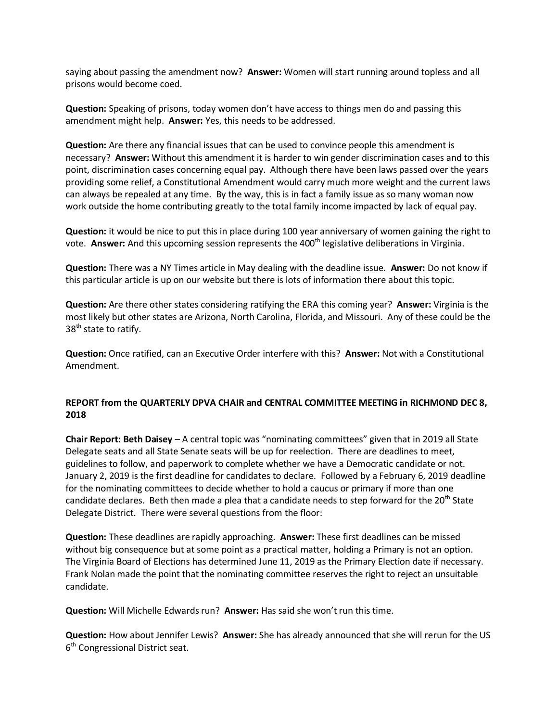saying about passing the amendment now? **Answer:** Women will start running around topless and all prisons would become coed.

**Question:** Speaking of prisons, today women don't have access to things men do and passing this amendment might help. **Answer:** Yes, this needs to be addressed.

**Question:** Are there any financial issues that can be used to convince people this amendment is necessary? **Answer:** Without this amendment it is harder to win gender discrimination cases and to this point, discrimination cases concerning equal pay. Although there have been laws passed over the years providing some relief, a Constitutional Amendment would carry much more weight and the current laws can always be repealed at any time. By the way, this is in fact a family issue as so many woman now work outside the home contributing greatly to the total family income impacted by lack of equal pay.

**Question:** it would be nice to put this in place during 100 year anniversary of women gaining the right to vote. **Answer:** And this upcoming session represents the 400<sup>th</sup> legislative deliberations in Virginia.

**Question:** There was a NY Times article in May dealing with the deadline issue. **Answer:** Do not know if this particular article is up on our website but there is lots of information there about this topic.

**Question:** Are there other states considering ratifying the ERA this coming year? **Answer:** Virginia is the most likely but other states are Arizona, North Carolina, Florida, and Missouri. Any of these could be the 38<sup>th</sup> state to ratify.

**Question:** Once ratified, can an Executive Order interfere with this? **Answer:** Not with a Constitutional Amendment.

### **REPORT from the QUARTERLY DPVA CHAIR and CENTRAL COMMITTEE MEETING in RICHMOND DEC 8, 2018**

**Chair Report: Beth Daisey** – A central topic was "nominating committees" given that in 2019 all State Delegate seats and all State Senate seats will be up for reelection. There are deadlines to meet, guidelines to follow, and paperwork to complete whether we have a Democratic candidate or not. January 2, 2019 is the first deadline for candidates to declare. Followed by a February 6, 2019 deadline for the nominating committees to decide whether to hold a caucus or primary if more than one candidate declares. Beth then made a plea that a candidate needs to step forward for the 20<sup>th</sup> State Delegate District. There were several questions from the floor:

**Question:** These deadlines are rapidly approaching. **Answer:** These first deadlines can be missed without big consequence but at some point as a practical matter, holding a Primary is not an option. The Virginia Board of Elections has determined June 11, 2019 as the Primary Election date if necessary. Frank Nolan made the point that the nominating committee reserves the right to reject an unsuitable candidate.

**Question:** Will Michelle Edwards run? **Answer:** Has said she won't run this time.

**Question:** How about Jennifer Lewis? **Answer:** She has already announced that she will rerun for the US 6<sup>th</sup> Congressional District seat.